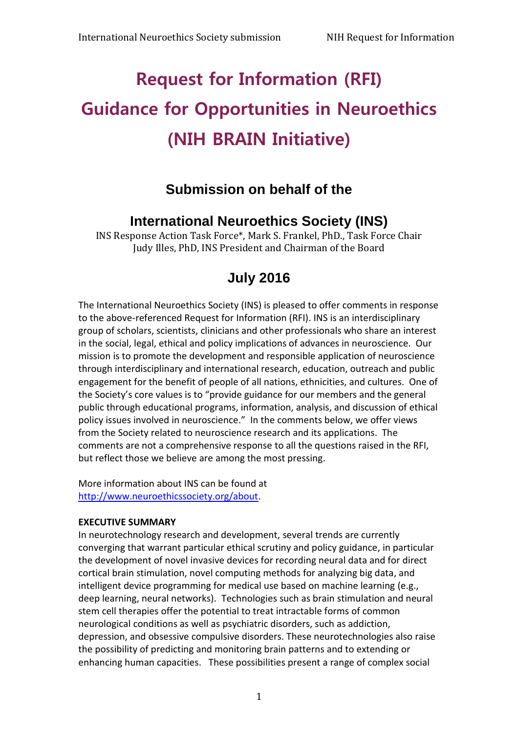# **Request for Information (RFI) Guidance for Opportunities in Neuroethics (NIH BRAIN Initiative)**

## **Submission on behalf of the**

## **International Neuroethics Society (INS)**

INS Response Action Task Force\*, Mark S. Frankel, PhD., Task Force Chair Judy Illes, PhD, INS President and Chairman of the Board

## **July 2016**

The International Neuroethics Society (INS) is pleased to offer comments in response to the above-referenced Request for Information (RFI). INS is an interdisciplinary group of scholars, scientists, clinicians and other professionals who share an interest in the social, legal, ethical and policy implications of advances in neuroscience. Our mission is to promote the development and responsible application of neuroscience through interdisciplinary and international research, education, outreach and public engagement for the benefit of people of all nations, ethnicities, and cultures. One of the Society's core values is to "provide guidance for our members and the general public through educational programs, information, analysis, and discussion of ethical policy issues involved in neuroscience." In the comments below, we offer views from the Society related to neuroscience research and its applications. The comments are not a comprehensive response to all the questions raised in the RFI, but reflect those we believe are among the most pressing.

More information about INS can be found at [http://www.neuroethicssociety.org/about.](http://www.neuroethicssociety.org/about)

#### **EXECUTIVE SUMMARY**

In neurotechnology research and development, several trends are currently converging that warrant particular ethical scrutiny and policy guidance, in particular the development of novel invasive devices for recording neural data and for direct cortical brain stimulation, novel computing methods for analyzing big data, and intelligent device programming for medical use based on machine learning (e.g., deep learning, neural networks). Technologies such as brain stimulation and neural stem cell therapies offer the potential to treat intractable forms of common neurological conditions as well as psychiatric disorders, such as addiction, depression, and obsessive compulsive disorders. These neurotechnologies also raise the possibility of predicting and monitoring brain patterns and to extending or enhancing human capacities. These possibilities present a range of complex social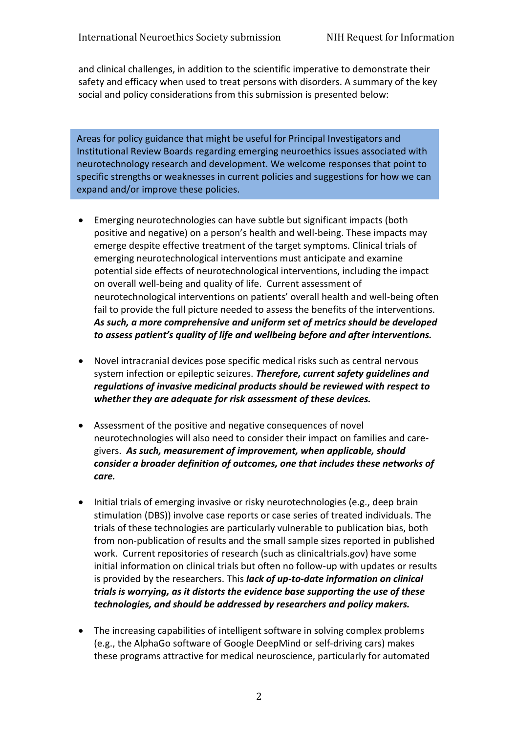and clinical challenges, in addition to the scientific imperative to demonstrate their safety and efficacy when used to treat persons with disorders. A summary of the key social and policy considerations from this submission is presented below:

Areas for policy guidance that might be useful for Principal Investigators and Institutional Review Boards regarding emerging neuroethics issues associated with neurotechnology research and development. We welcome responses that point to specific strengths or weaknesses in current policies and suggestions for how we can expand and/or improve these policies.

- Emerging neurotechnologies can have subtle but significant impacts (both positive and negative) on a person's health and well-being. These impacts may emerge despite effective treatment of the target symptoms. Clinical trials of emerging neurotechnological interventions must anticipate and examine potential side effects of neurotechnological interventions, including the impact on overall well-being and quality of life. Current assessment of neurotechnological interventions on patients' overall health and well-being often fail to provide the full picture needed to assess the benefits of the interventions. *As such, a more comprehensive and uniform set of metrics should be developed to assess patient's quality of life and wellbeing before and after interventions.*
- Novel intracranial devices pose specific medical risks such as central nervous system infection or epileptic seizures. *Therefore, current safety guidelines and regulations of invasive medicinal products should be reviewed with respect to whether they are adequate for risk assessment of these devices.*
- Assessment of the positive and negative consequences of novel neurotechnologies will also need to consider their impact on families and caregivers. *As such, measurement of improvement, when applicable, should consider a broader definition of outcomes, one that includes these networks of care.*
- Initial trials of emerging invasive or risky neurotechnologies (e.g., deep brain stimulation (DBS)) involve case reports or case series of treated individuals. The trials of these technologies are particularly vulnerable to publication bias, both from non-publication of results and the small sample sizes reported in published work. Current repositories of research (such as clinicaltrials.gov) have some initial information on clinical trials but often no follow-up with updates or results is provided by the researchers. This *lack of up-to-date information on clinical trials is worrying, as it distorts the evidence base supporting the use of these technologies, and should be addressed by researchers and policy makers.*
- The increasing capabilities of intelligent software in solving complex problems (e.g., the AlphaGo software of Google DeepMind or self-driving cars) makes these programs attractive for medical neuroscience, particularly for automated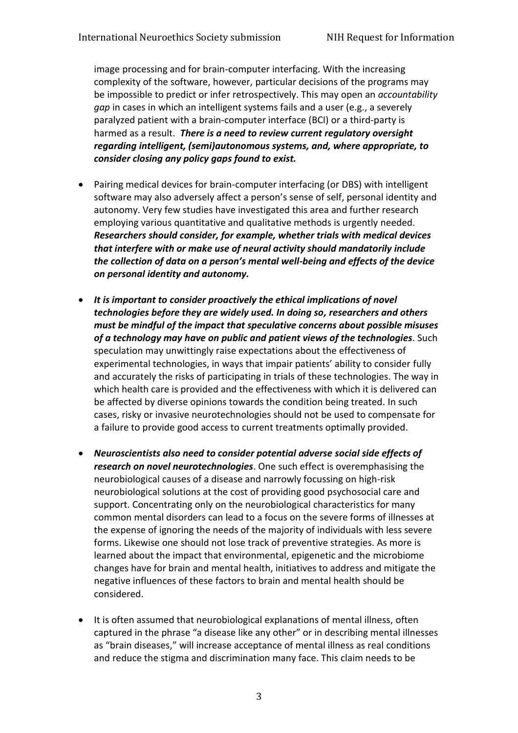image processing and for brain-computer interfacing. With the increasing complexity of the software, however, particular decisions of the programs may be impossible to predict or infer retrospectively. This may open an *accountability gap* in cases in which an intelligent systems fails and a user (e.g., a severely paralyzed patient with a brain-computer interface (BCI) or a third-party is harmed as a result. *There is a need to review current regulatory oversight regarding intelligent, (semi)autonomous systems, and, where appropriate, to consider closing any policy gaps found to exist.*

- Pairing medical devices for brain-computer interfacing (or DBS) with intelligent software may also adversely affect a person's sense of self, personal identity and autonomy. Very few studies have investigated this area and further research employing various quantitative and qualitative methods is urgently needed. *Researchers should consider, for example, whether trials with medical devices that interfere with or make use of neural activity should mandatorily include the collection of data on a person's mental well-being and effects of the device on personal identity and autonomy.*
- *It is important to consider proactively the ethical implications of novel technologies before they are widely used. In doing so, researchers and others must be mindful of the impact that speculative concerns about possible misuses of a technology may have on public and patient views of the technologies*. Such speculation may unwittingly raise expectations about the effectiveness of experimental technologies, in ways that impair patients' ability to consider fully and accurately the risks of participating in trials of these technologies. The way in which health care is provided and the effectiveness with which it is delivered can be affected by diverse opinions towards the condition being treated. In such cases, risky or invasive neurotechnologies should not be used to compensate for a failure to provide good access to current treatments optimally provided.
- *Neuroscientists also need to consider potential adverse social side effects of research on novel neurotechnologies*. One such effect is overemphasising the neurobiological causes of a disease and narrowly focussing on high-risk neurobiological solutions at the cost of providing good psychosocial care and support. Concentrating only on the neurobiological characteristics for many common mental disorders can lead to a focus on the severe forms of illnesses at the expense of ignoring the needs of the majority of individuals with less severe forms. Likewise one should not lose track of preventive strategies. As more is learned about the impact that environmental, epigenetic and the microbiome changes have for brain and mental health, initiatives to address and mitigate the negative influences of these factors to brain and mental health should be considered.
- It is often assumed that neurobiological explanations of mental illness, often captured in the phrase "a disease like any other" or in describing mental illnesses as "brain diseases," will increase acceptance of mental illness as real conditions and reduce the stigma and discrimination many face. This claim needs to be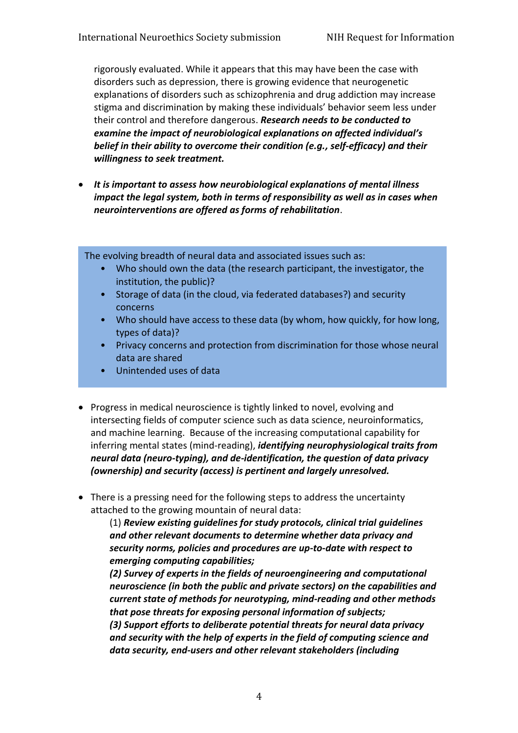rigorously evaluated. While it appears that this may have been the case with disorders such as depression, there is growing evidence that neurogenetic explanations of disorders such as schizophrenia and drug addiction may increase stigma and discrimination by making these individuals' behavior seem less under their control and therefore dangerous. *Research needs to be conducted to examine the impact of neurobiological explanations on affected individual's belief in their ability to overcome their condition (e.g., self-efficacy) and their willingness to seek treatment.* 

 *It is important to assess how neurobiological explanations of mental illness impact the legal system, both in terms of responsibility as well as in cases when neurointerventions are offered as forms of rehabilitation*.

The evolving breadth of neural data and associated issues such as:

- Who should own the data (the research participant, the investigator, the institution, the public)?
- Storage of data (in the cloud, via federated databases?) and security concerns
- Who should have access to these data (by whom, how quickly, for how long, types of data)?
- Privacy concerns and protection from discrimination for those whose neural data are shared
- Unintended uses of data
- Progress in medical neuroscience is tightly linked to novel, evolving and intersecting fields of computer science such as data science, neuroinformatics, and machine learning. Because of the increasing computational capability for inferring mental states (mind-reading), *identifying neurophysiological traits from neural data (neuro-typing), and de-identification, the question of data privacy (ownership) and security (access) is pertinent and largely unresolved.*
- There is a pressing need for the following steps to address the uncertainty attached to the growing mountain of neural data:

(1) *Review existing guidelines for study protocols, clinical trial guidelines and other relevant documents to determine whether data privacy and security norms, policies and procedures are up-to-date with respect to emerging computing capabilities;*

*(2) Survey of experts in the fields of neuroengineering and computational neuroscience (in both the public and private sectors) on the capabilities and current state of methods for neurotyping, mind-reading and other methods that pose threats for exposing personal information of subjects; (3) Support efforts to deliberate potential threats for neural data privacy and security with the help of experts in the field of computing science and data security, end-users and other relevant stakeholders (including*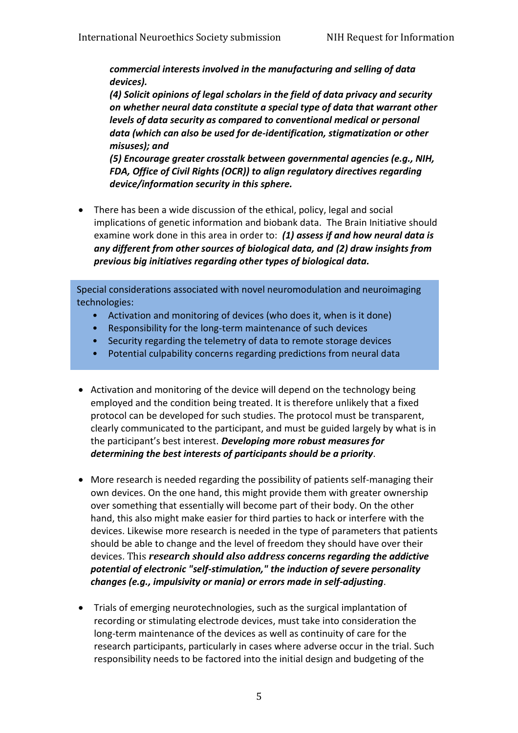*commercial interests involved in the manufacturing and selling of data devices).*

*(4) Solicit opinions of legal scholars in the field of data privacy and security on whether neural data constitute a special type of data that warrant other levels of data security as compared to conventional medical or personal data (which can also be used for de-identification, stigmatization or other misuses); and*

*(5) Encourage greater crosstalk between governmental agencies (e.g., NIH, FDA, Office of Civil Rights (OCR)) to align regulatory directives regarding device/information security in this sphere.*

 There has been a wide discussion of the ethical, policy, legal and social implications of genetic information and biobank data. The Brain Initiative should examine work done in this area in order to: *(1) assess if and how neural data is any different from other sources of biological data, and (2) draw insights from previous big initiatives regarding other types of biological data.*

Special considerations associated with novel neuromodulation and neuroimaging technologies:

- Activation and monitoring of devices (who does it, when is it done)
- Responsibility for the long-term maintenance of such devices
- Security regarding the telemetry of data to remote storage devices
- Potential culpability concerns regarding predictions from neural data
- Activation and monitoring of the device will depend on the technology being employed and the condition being treated. It is therefore unlikely that a fixed protocol can be developed for such studies. The protocol must be transparent, clearly communicated to the participant, and must be guided largely by what is in the participant's best interest. *Developing more robust measures for determining the best interests of participants should be a priority*.
- More research is needed regarding the possibility of patients self-managing their own devices. On the one hand, this might provide them with greater ownership over something that essentially will become part of their body. On the other hand, this also might make easier for third parties to hack or interfere with the devices. Likewise more research is needed in the type of parameters that patients should be able to change and the level of freedom they should have over their devices. This *research should also address concerns regarding the addictive potential of electronic "self-stimulation," the induction of severe personality changes (e.g., impulsivity or mania) or errors made in self-adjusting*.
- Trials of emerging neurotechnologies, such as the surgical implantation of recording or stimulating electrode devices, must take into consideration the long-term maintenance of the devices as well as continuity of care for the research participants, particularly in cases where adverse occur in the trial. Such responsibility needs to be factored into the initial design and budgeting of the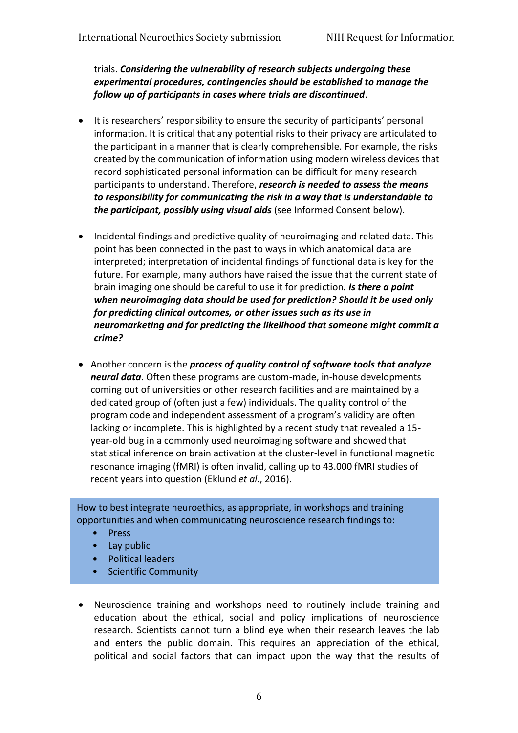trials. *Considering the vulnerability of research subjects undergoing these experimental procedures, contingencies should be established to manage the follow up of participants in cases where trials are discontinued*.

- It is researchers' responsibility to ensure the security of participants' personal information. It is critical that any potential risks to their privacy are articulated to the participant in a manner that is clearly comprehensible. For example, the risks created by the communication of information using modern wireless devices that record sophisticated personal information can be difficult for many research participants to understand. Therefore, *research is needed to assess the means to responsibility for communicating the risk in a way that is understandable to the participant, possibly using visual aids* (see Informed Consent below).
- Incidental findings and predictive quality of neuroimaging and related data. This point has been connected in the past to ways in which anatomical data are interpreted; interpretation of incidental findings of functional data is key for the future. For example, many authors have raised the issue that the current state of brain imaging one should be careful to use it for prediction*. Is there a point when neuroimaging data should be used for prediction? Should it be used only for predicting clinical outcomes, or other issues such as its use in neuromarketing and for predicting the likelihood that someone might commit a crime?*
- Another concern is the *process of quality control of software tools that analyze neural data*. Often these programs are custom-made, in-house developments coming out of universities or other research facilities and are maintained by a dedicated group of (often just a few) individuals. The quality control of the program code and independent assessment of a program's validity are often lacking or incomplete. This is highlighted by a recent study that revealed a 15 year-old bug in a commonly used neuroimaging software and showed that statistical inference on brain activation at the cluster-level in functional magnetic resonance imaging (fMRI) is often invalid, calling up to 43.000 fMRI studies of recent years into question (Eklund *et al.*, 2016).

How to best integrate neuroethics, as appropriate, in workshops and training opportunities and when communicating neuroscience research findings to:

- Press
- Lay public
- Political leaders
- Scientific Community
- Neuroscience training and workshops need to routinely include training and education about the ethical, social and policy implications of neuroscience research. Scientists cannot turn a blind eye when their research leaves the lab and enters the public domain. This requires an appreciation of the ethical, political and social factors that can impact upon the way that the results of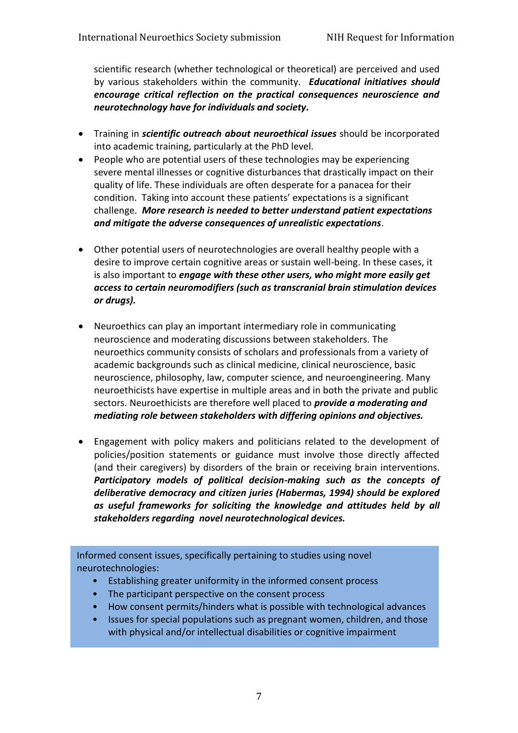scientific research (whether technological or theoretical) are perceived and used by various stakeholders within the community. *Educational initiatives should encourage critical reflection on the practical consequences neuroscience and neurotechnology have for individuals and society.*

- Training in *scientific outreach about neuroethical issues* should be incorporated into academic training, particularly at the PhD level.
- People who are potential users of these technologies may be experiencing severe mental illnesses or cognitive disturbances that drastically impact on their quality of life. These individuals are often desperate for a panacea for their condition. Taking into account these patients' expectations is a significant challenge. *More research is needed to better understand patient expectations and mitigate the adverse consequences of unrealistic expectations*.
- Other potential users of neurotechnologies are overall healthy people with a desire to improve certain cognitive areas or sustain well-being. In these cases, it is also important to *engage with these other users, who might more easily get access to certain neuromodifiers (such as transcranial brain stimulation devices or drugs).*
- Neuroethics can play an important intermediary role in communicating neuroscience and moderating discussions between stakeholders. The neuroethics community consists of scholars and professionals from a variety of academic backgrounds such as clinical medicine, clinical neuroscience, basic neuroscience, philosophy, law, computer science, and neuroengineering. Many neuroethicists have expertise in multiple areas and in both the private and public sectors. Neuroethicists are therefore well placed to *provide a moderating and mediating role between stakeholders with differing opinions and objectives.*
- Engagement with policy makers and politicians related to the development of policies/position statements or guidance must involve those directly affected (and their caregivers) by disorders of the brain or receiving brain interventions. *Participatory models of political decision-making such as the concepts of deliberative democracy and citizen juries (Habermas, 1994) should be explored as useful frameworks for soliciting the knowledge and attitudes held by all stakeholders regarding novel neurotechnological devices.*

Informed consent issues, specifically pertaining to studies using novel neurotechnologies:

- Establishing greater uniformity in the informed consent process
- The participant perspective on the consent process
- How consent permits/hinders what is possible with technological advances
- Issues for special populations such as pregnant women, children, and those with physical and/or intellectual disabilities or cognitive impairment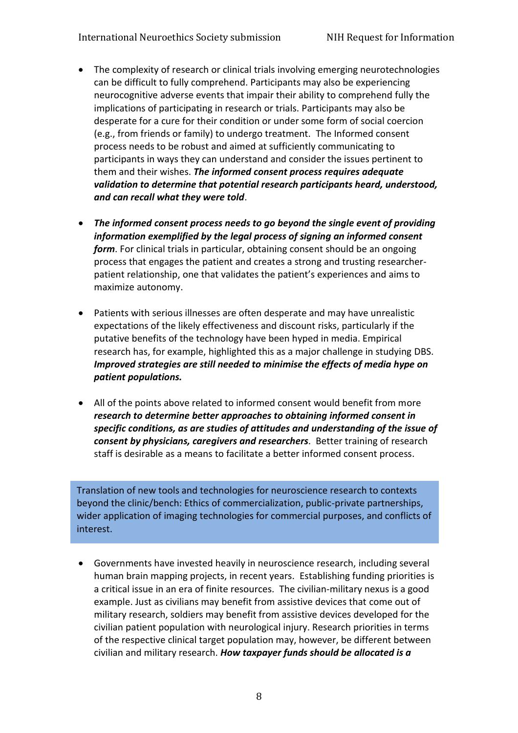- The complexity of research or clinical trials involving emerging neurotechnologies can be difficult to fully comprehend. Participants may also be experiencing neurocognitive adverse events that impair their ability to comprehend fully the implications of participating in research or trials. Participants may also be desperate for a cure for their condition or under some form of social coercion (e.g., from friends or family) to undergo treatment. The Informed consent process needs to be robust and aimed at sufficiently communicating to participants in ways they can understand and consider the issues pertinent to them and their wishes. *The informed consent process requires adequate validation to determine that potential research participants heard, understood, and can recall what they were told*.
- *The informed consent process needs to go beyond the single event of providing information exemplified by the legal process of signing an informed consent form*. For clinical trials in particular, obtaining consent should be an ongoing process that engages the patient and creates a strong and trusting researcherpatient relationship, one that validates the patient's experiences and aims to maximize autonomy.
- Patients with serious illnesses are often desperate and may have unrealistic expectations of the likely effectiveness and discount risks, particularly if the putative benefits of the technology have been hyped in media. Empirical research has, for example, highlighted this as a major challenge in studying DBS. *Improved strategies are still needed to minimise the effects of media hype on patient populations.*
- All of the points above related to informed consent would benefit from more *research to determine better approaches to obtaining informed consent in specific conditions, as are studies of attitudes and understanding of the issue of consent by physicians, caregivers and researchers*. Better training of research staff is desirable as a means to facilitate a better informed consent process.

Translation of new tools and technologies for neuroscience research to contexts beyond the clinic/bench: Ethics of commercialization, public-private partnerships, wider application of imaging technologies for commercial purposes, and conflicts of interest.

 Governments have invested heavily in neuroscience research, including several human brain mapping projects, in recent years. Establishing funding priorities is a critical issue in an era of finite resources. The civilian-military nexus is a good example. Just as civilians may benefit from assistive devices that come out of military research, soldiers may benefit from assistive devices developed for the civilian patient population with neurological injury. Research priorities in terms of the respective clinical target population may, however, be different between civilian and military research. *How taxpayer funds should be allocated is a*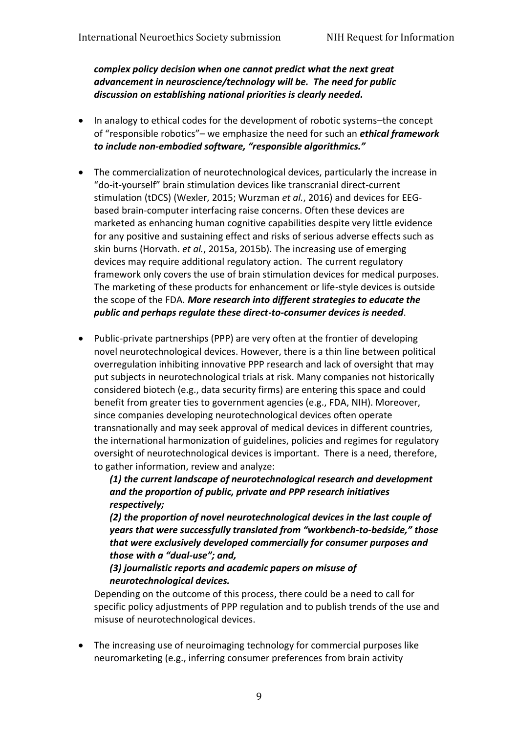*complex policy decision when one cannot predict what the next great advancement in neuroscience/technology will be. The need for public discussion on establishing national priorities is clearly needed.*

- In analogy to ethical codes for the development of robotic systems-the concept of "responsible robotics"– we emphasize the need for such an *ethical framework to include non-embodied software, "responsible algorithmics."*
- The commercialization of neurotechnological devices, particularly the increase in "do-it-yourself" brain stimulation devices like transcranial direct-current stimulation (tDCS) (Wexler, 2015; Wurzman *et al.*, 2016) and devices for EEGbased brain-computer interfacing raise concerns. Often these devices are marketed as enhancing human cognitive capabilities despite very little evidence for any positive and sustaining effect and risks of serious adverse effects such as skin burns (Horvath. *et al.*, 2015a, 2015b). The increasing use of emerging devices may require additional regulatory action. The current regulatory framework only covers the use of brain stimulation devices for medical purposes. The marketing of these products for enhancement or life-style devices is outside the scope of the FDA. *More research into different strategies to educate the public and perhaps regulate these direct-to-consumer devices is needed*.
- Public-private partnerships (PPP) are very often at the frontier of developing novel neurotechnological devices. However, there is a thin line between political overregulation inhibiting innovative PPP research and lack of oversight that may put subjects in neurotechnological trials at risk. Many companies not historically considered biotech (e.g., data security firms) are entering this space and could benefit from greater ties to government agencies (e.g., FDA, NIH). Moreover, since companies developing neurotechnological devices often operate transnationally and may seek approval of medical devices in different countries, the international harmonization of guidelines, policies and regimes for regulatory oversight of neurotechnological devices is important. There is a need, therefore, to gather information, review and analyze:

*(1) the current landscape of neurotechnological research and development and the proportion of public, private and PPP research initiatives respectively;* 

*(2) the proportion of novel neurotechnological devices in the last couple of years that were successfully translated from "workbench-to-bedside," those that were exclusively developed commercially for consumer purposes and those with a "dual-use"; and,*

#### *(3) journalistic reports and academic papers on misuse of neurotechnological devices.*

Depending on the outcome of this process, there could be a need to call for specific policy adjustments of PPP regulation and to publish trends of the use and misuse of neurotechnological devices.

 The increasing use of neuroimaging technology for commercial purposes like neuromarketing (e.g., inferring consumer preferences from brain activity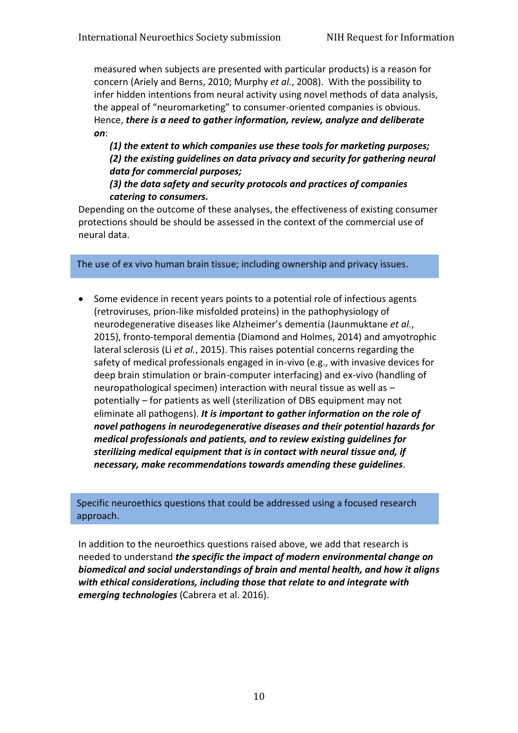measured when subjects are presented with particular products) is a reason for concern (Ariely and Berns, 2010; Murphy *et al.*, 2008). With the possibility to infer hidden intentions from neural activity using novel methods of data analysis, the appeal of "neuromarketing" to consumer-oriented companies is obvious. Hence, *there is a need to gather information, review, analyze and deliberate on*:

*(1) the extent to which companies use these tools for marketing purposes; (2) the existing guidelines on data privacy and security for gathering neural data for commercial purposes;* 

#### *(3) the data safety and security protocols and practices of companies catering to consumers.*

Depending on the outcome of these analyses, the effectiveness of existing consumer protections should be should be assessed in the context of the commercial use of neural data.

The use of ex vivo human brain tissue; including ownership and privacy issues.

• Some evidence in recent years points to a potential role of infectious agents (retroviruses, prion-like misfolded proteins) in the pathophysiology of neurodegenerative diseases like Alzheimer's dementia (Jaunmuktane *et al.*, 2015), fronto-temporal dementia (Diamond and Holmes, 2014) and amyotrophic lateral sclerosis (Li *et al.*, 2015). This raises potential concerns regarding the safety of medical professionals engaged in in-vivo (e.g., with invasive devices for deep brain stimulation or brain-computer interfacing) and ex-vivo (handling of neuropathological specimen) interaction with neural tissue as well as – potentially – for patients as well (sterilization of DBS equipment may not eliminate all pathogens). *It is important to gather information on the role of novel pathogens in neurodegenerative diseases and their potential hazards for medical professionals and patients, and to review existing guidelines for sterilizing medical equipment that is in contact with neural tissue and, if necessary, make recommendations towards amending these guidelines*.

Specific neuroethics questions that could be addressed using a focused research approach.

In addition to the neuroethics questions raised above, we add that research is needed to understand *the specific the impact of modern environmental change on biomedical and social understandings of brain and mental health, and how it aligns with ethical considerations, including those that relate to and integrate with emerging technologies* (Cabrera et al. 2016).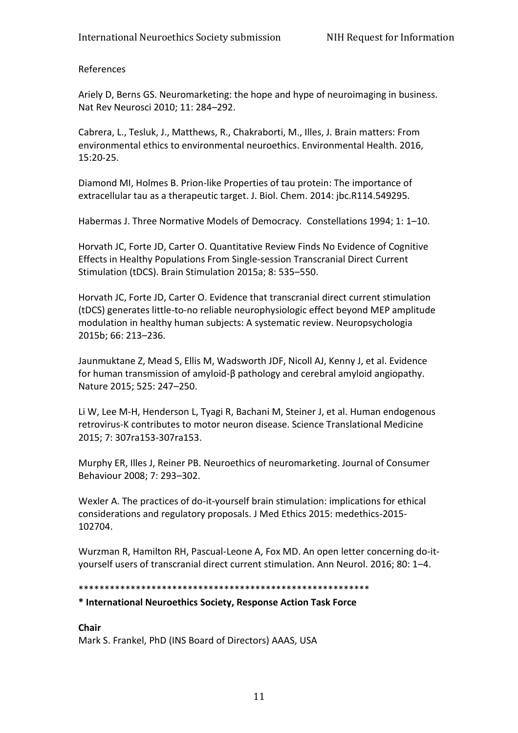References

Ariely D, Berns GS. Neuromarketing: the hope and hype of neuroimaging in business. Nat Rev Neurosci 2010; 11: 284–292.

Cabrera, L., Tesluk, J., Matthews, R., Chakraborti, M., Illes, J. Brain matters: From environmental ethics to environmental neuroethics. Environmental Health. 2016, 15:20-25.

Diamond MI, Holmes B. Prion-like Properties of tau protein: The importance of extracellular tau as a therapeutic target. J. Biol. Chem. 2014: jbc.R114.549295.

Habermas J. Three Normative Models of Democracy. Constellations 1994; 1: 1–10.

Horvath JC, Forte JD, Carter O. Quantitative Review Finds No Evidence of Cognitive Effects in Healthy Populations From Single-session Transcranial Direct Current Stimulation (tDCS). Brain Stimulation 2015a; 8: 535–550.

Horvath JC, Forte JD, Carter O. Evidence that transcranial direct current stimulation (tDCS) generates little-to-no reliable neurophysiologic effect beyond MEP amplitude modulation in healthy human subjects: A systematic review. Neuropsychologia 2015b; 66: 213–236.

Jaunmuktane Z, Mead S, Ellis M, Wadsworth JDF, Nicoll AJ, Kenny J, et al. Evidence for human transmission of amyloid-β pathology and cerebral amyloid angiopathy. Nature 2015; 525: 247–250.

Li W, Lee M-H, Henderson L, Tyagi R, Bachani M, Steiner J, et al. Human endogenous retrovirus-K contributes to motor neuron disease. Science Translational Medicine 2015; 7: 307ra153-307ra153.

Murphy ER, Illes J, Reiner PB. Neuroethics of neuromarketing. Journal of Consumer Behaviour 2008; 7: 293–302.

Wexler A. The practices of do-it-yourself brain stimulation: implications for ethical considerations and regulatory proposals. J Med Ethics 2015: medethics-2015- 102704.

Wurzman R, Hamilton RH, Pascual-Leone A, Fox MD. An open letter concerning do-ityourself users of transcranial direct current stimulation. Ann Neurol. 2016; 80: 1–4.

#### \*\*\*\*\*\*\*\*\*\*\*\*\*\*\*\*\*\*\*\*\*\*\*\*\*\*\*\*\*\*\*\*\*\*\*\*\*\*\*\*\*\*\*\*\*\*\*\*\*\*\*\*\*\*\*\*

#### **\* International Neuroethics Society, Response Action Task Force**

#### **Chair** Mark S. Frankel, PhD (INS Board of Directors) AAAS, USA